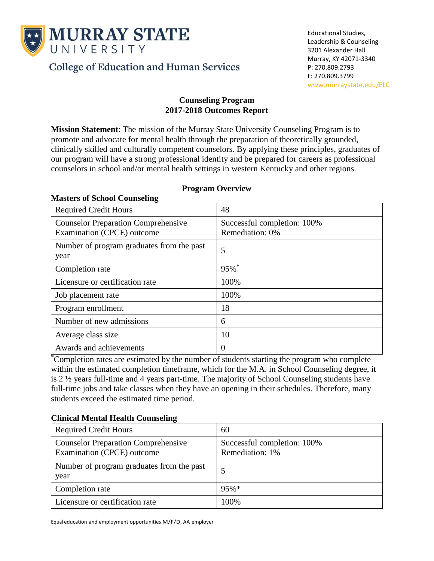

**Masters of School Counseling**

**College of Education and Human Services** 

#### **Counseling Program 2017-2018 Outcomes Report**

**Mission Statement**: The mission of the Murray State University Counseling Program is to promote and advocate for mental health through the preparation of theoretically grounded, clinically skilled and culturally competent counselors. By applying these principles, graduates of our program will have a strong professional identity and be prepared for careers as professional counselors in school and/or mental health settings in western Kentucky and other regions.

| <b>Required Credit Hours</b>                                             | 48                                             |
|--------------------------------------------------------------------------|------------------------------------------------|
| <b>Counselor Preparation Comprehensive</b><br>Examination (CPCE) outcome | Successful completion: 100%<br>Remediation: 0% |
| Number of program graduates from the past<br>year                        | 5                                              |
| Completion rate                                                          | 95%*                                           |
| Licensure or certification rate                                          | 100%                                           |
| Job placement rate                                                       | 100%                                           |
| Program enrollment                                                       | 18                                             |
| Number of new admissions                                                 | 6                                              |
| Average class size                                                       | 10                                             |
| Awards and achievements                                                  | $\Omega$                                       |

### **Program Overview**

\*Completion rates are estimated by the number of students starting the program who complete within the estimated completion timeframe, which for the M.A. in School Counseling degree, it is 2 ½ years full-time and 4 years part-time. The majority of School Counseling students have full-time jobs and take classes when they have an opening in their schedules. Therefore, many students exceed the estimated time period.

## **Clinical Mental Health Counseling**

| <b>Required Credit Hours</b>                                             | 60                                             |
|--------------------------------------------------------------------------|------------------------------------------------|
| <b>Counselor Preparation Comprehensive</b><br>Examination (CPCE) outcome | Successful completion: 100%<br>Remediation: 1% |
| Number of program graduates from the past<br>year                        |                                                |
| Completion rate                                                          | $95%*$                                         |
| Licensure or certification rate                                          | 100%                                           |

Equal education and employment opportunities M/F/D, AA employer